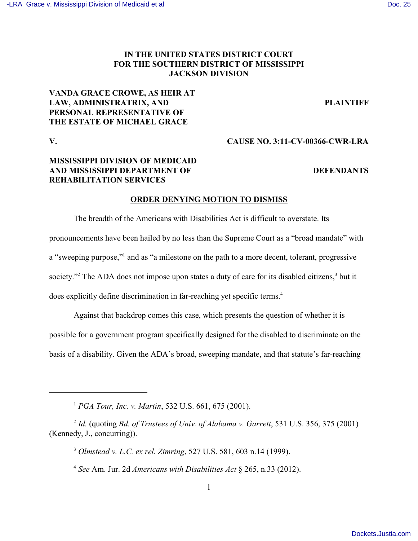# **IN THE UNITED STATES DISTRICT COURT FOR THE SOUTHERN DISTRICT OF MISSISSIPPI JACKSON DIVISION**

## **VANDA GRACE CROWE, AS HEIR AT LAW, ADMINISTRATRIX, AND PLAINTIFF PERSONAL REPRESENTATIVE OF THE ESTATE OF MICHAEL GRACE**

**V. CAUSE NO. 3:11-CV-00366-CWR-LRA**

# **MISSISSIPPI DIVISION OF MEDICAID AND MISSISSIPPI DEPARTMENT OF DEFENDANTS REHABILITATION SERVICES**

## **ORDER DENYING MOTION TO DISMISS**

The breadth of the Americans with Disabilities Act is difficult to overstate. Its pronouncements have been hailed by no less than the Supreme Court as a "broad mandate" with a "sweeping purpose," and as "a milestone on the path to a more decent, tolerant, progressive society."<sup>2</sup> The ADA does not impose upon states a duty of care for its disabled citizens,<sup>3</sup> but it does explicitly define discrimination in far-reaching yet specific terms.<sup>4</sup>

Against that backdrop comes this case, which presents the question of whether it is

possible for a government program specifically designed for the disabled to discriminate on the

basis of a disability. Given the ADA's broad, sweeping mandate, and that statute's far-reaching

<sup>&</sup>lt;sup>1</sup> PGA Tour, Inc. v. Martin, 532 U.S. 661, 675 (2001).

<sup>&</sup>lt;sup>2</sup> Id. (quoting *Bd. of Trustees of Univ. of Alabama v. Garrett*, 531 U.S. 356, 375 (2001) (Kennedy, J., concurring)).

<sup>&</sup>lt;sup>3</sup> Olmstead v. L.C. ex rel. Zimring, 527 U.S. 581, 603 n.14 (1999).

*See* Am. Jur. 2d *Americans with Disabilities Act* § 265, n.33 (2012). <sup>4</sup>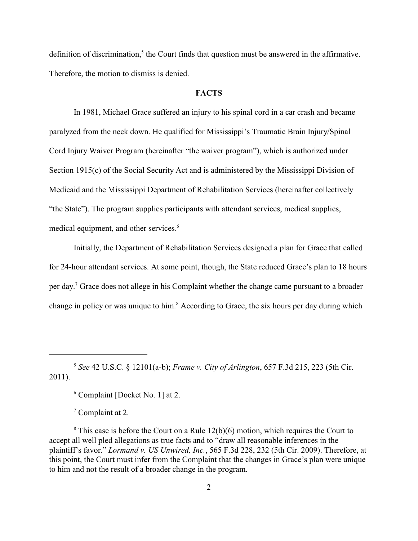definition of discrimination, $<sup>5</sup>$  the Court finds that question must be answered in the affirmative.</sup> Therefore, the motion to dismiss is denied.

## **FACTS**

In 1981, Michael Grace suffered an injury to his spinal cord in a car crash and became paralyzed from the neck down. He qualified for Mississippi's Traumatic Brain Injury/Spinal Cord Injury Waiver Program (hereinafter "the waiver program"), which is authorized under Section 1915(c) of the Social Security Act and is administered by the Mississippi Division of Medicaid and the Mississippi Department of Rehabilitation Services (hereinafter collectively "the State"). The program supplies participants with attendant services, medical supplies, medical equipment, and other services.<sup>6</sup>

Initially, the Department of Rehabilitation Services designed a plan for Grace that called for 24-hour attendant services. At some point, though, the State reduced Grace's plan to 18 hours per day.<sup>7</sup> Grace does not allege in his Complaint whether the change came pursuant to a broader change in policy or was unique to him.<sup>8</sup> According to Grace, the six hours per day during which

 $6$  Complaint [Docket No. 1] at 2.

 $\degree$  Complaint at 2.

*See* 42 U.S.C. § 12101(a-b); *Frame v. City of Arlington*, 657 F.3d 215, 223 (5th Cir. <sup>5</sup> 2011).

 $\textsuperscript{s}$  This case is before the Court on a Rule 12(b)(6) motion, which requires the Court to accept all well pled allegations as true facts and to "draw all reasonable inferences in the plaintiff's favor." *Lormand v. US Unwired, Inc.*, 565 F.3d 228, 232 (5th Cir. 2009). Therefore, at this point, the Court must infer from the Complaint that the changes in Grace's plan were unique to him and not the result of a broader change in the program.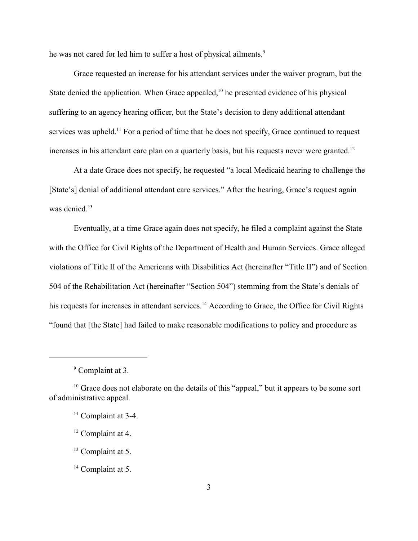he was not cared for led him to suffer a host of physical ailments.<sup>9</sup>

Grace requested an increase for his attendant services under the waiver program, but the State denied the application. When Grace appealed,  $\frac{10}{10}$  he presented evidence of his physical suffering to an agency hearing officer, but the State's decision to deny additional attendant services was upheld.<sup>11</sup> For a period of time that he does not specify, Grace continued to request increases in his attendant care plan on a quarterly basis, but his requests never were granted.<sup>12</sup>

At a date Grace does not specify, he requested "a local Medicaid hearing to challenge the [State's] denial of additional attendant care services." After the hearing, Grace's request again was denied.<sup>13</sup>

Eventually, at a time Grace again does not specify, he filed a complaint against the State with the Office for Civil Rights of the Department of Health and Human Services. Grace alleged violations of Title II of the Americans with Disabilities Act (hereinafter "Title II") and of Section 504 of the Rehabilitation Act (hereinafter "Section 504") stemming from the State's denials of his requests for increases in attendant services.<sup>14</sup> According to Grace, the Office for Civil Rights "found that [the State] had failed to make reasonable modifications to policy and procedure as

 $<sup>9</sup>$  Complaint at 3.</sup>

 $10$  Grace does not elaborate on the details of this "appeal," but it appears to be some sort of administrative appeal.

 $11$  Complaint at 3-4.

 $12$  Complaint at 4.

 $13$  Complaint at 5.

 $14$  Complaint at 5.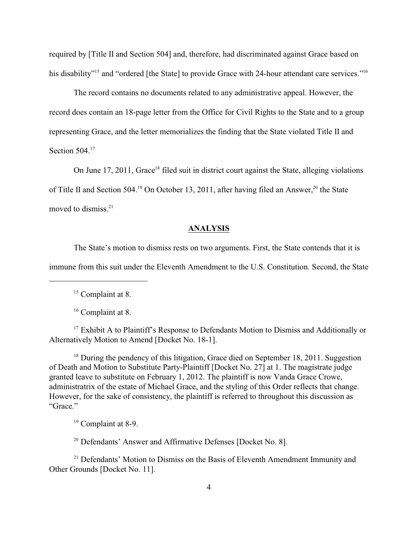required by [Title II and Section 504] and, therefore, had discriminated against Grace based on his disability"<sup>15</sup> and "ordered [the State] to provide Grace with 24-hour attendant care services."<sup>16</sup>

The record contains no documents related to any administrative appeal. However, the record does contain an 18-page letter from the Office for Civil Rights to the State and to a group representing Grace, and the letter memorializes the finding that the State violated Title II and Section 504.<sup>17</sup>

On June 17, 2011, Grace<sup>18</sup> filed suit in district court against the State, alleging violations of Title II and Section 504.<sup>19</sup> On October 13, 2011, after having filed an Answer,<sup>20</sup> the State moved to dismiss. 21

### **ANALYSIS**

The State's motion to dismiss rests on two arguments. First, the State contends that it is immune from this suit under the Eleventh Amendment to the U.S. Constitution. Second, the State

 $15$  Complaint at 8.

 $16$  Complaint at 8.

 $17$  Exhibit A to Plaintiff's Response to Defendants Motion to Dismiss and Additionally or Alternatively Motion to Amend [Docket No. 18-1].

 $18$  During the pendency of this litigation, Grace died on September 18, 2011. Suggestion of Death and Motion to Substitute Party-Plaintiff [Docket No. 27] at 1. The magistrate judge granted leave to substitute on February 1, 2012. The plaintiff is now Vanda Grace Crowe, administratrix of the estate of Michael Grace, and the styling of this Order reflects that change. However, for the sake of consistency, the plaintiff is referred to throughout this discussion as "Grace."

 $19$  Complaint at 8-9.

 $20$  Defendants' Answer and Affirmative Defenses [Docket No. 8].

 $21$  Defendants' Motion to Dismiss on the Basis of Eleventh Amendment Immunity and Other Grounds [Docket No. 11].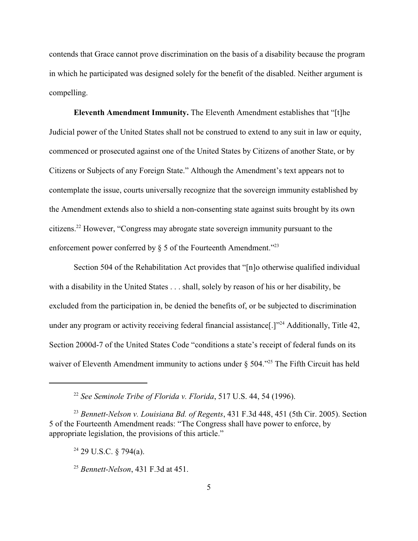contends that Grace cannot prove discrimination on the basis of a disability because the program in which he participated was designed solely for the benefit of the disabled. Neither argument is compelling.

**Eleventh Amendment Immunity.** The Eleventh Amendment establishes that "[t]he Judicial power of the United States shall not be construed to extend to any suit in law or equity, commenced or prosecuted against one of the United States by Citizens of another State, or by Citizens or Subjects of any Foreign State." Although the Amendment's text appears not to contemplate the issue, courts universally recognize that the sovereign immunity established by the Amendment extends also to shield a non-consenting state against suits brought by its own citizens.<sup>22</sup> However, "Congress may abrogate state sovereign immunity pursuant to the enforcement power conferred by  $\S$  5 of the Fourteenth Amendment."<sup>23</sup>

Section 504 of the Rehabilitation Act provides that "[n]o otherwise qualified individual with a disability in the United States . . . shall, solely by reason of his or her disability, be excluded from the participation in, be denied the benefits of, or be subjected to discrimination under any program or activity receiving federal financial assistance<sup>[1]" Additionally, Title 42,</sup> Section 2000d-7 of the United States Code "conditions a state's receipt of federal funds on its waiver of Eleventh Amendment immunity to actions under  $\S$  504.<sup> $25$ </sup> The Fifth Circuit has held

<sup>&</sup>lt;sup>22</sup> See Seminole Tribe of Florida v. Florida, 517 U.S. 44, 54 (1996).

<sup>&</sup>lt;sup>23</sup> Bennett-Nelson v. Louisiana Bd. of Regents, 431 F.3d 448, 451 (5th Cir. 2005). Section 5 of the Fourteenth Amendment reads: "The Congress shall have power to enforce, by appropriate legislation, the provisions of this article."

 $24$  29 U.S.C. § 794(a).

<sup>&</sup>lt;sup>25</sup> Bennett-Nelson, 431 F.3d at 451.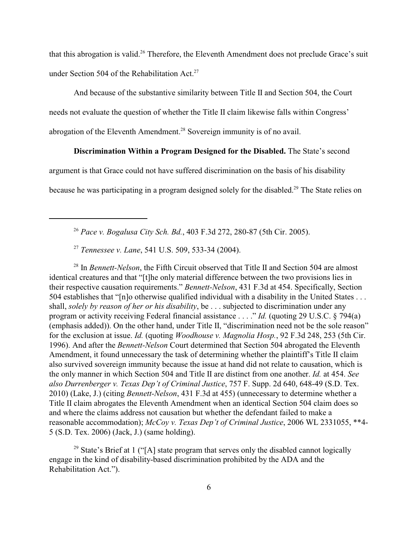that this abrogation is valid.<sup>26</sup> Therefore, the Eleventh Amendment does not preclude Grace's suit under Section 504 of the Rehabilitation Act.<sup>27</sup>

And because of the substantive similarity between Title II and Section 504, the Court needs not evaluate the question of whether the Title II claim likewise falls within Congress' abrogation of the Eleventh Amendment.<sup>28</sup> Sovereign immunity is of no avail.

## **Discrimination Within a Program Designed for the Disabled.** The State's second

argument is that Grace could not have suffered discrimination on the basis of his disability

because he was participating in a program designed solely for the disabled.<sup>29</sup> The State relies on

<sup>26</sup> Pace v. Bogalusa City Sch. Bd., 403 F.3d 272, 280-87 (5th Cir. 2005).

<sup>27</sup> Tennessee v. Lane, 541 U.S. 509, 533-34 (2004).

<sup>28</sup> In *Bennett-Nelson*, the Fifth Circuit observed that Title II and Section 504 are almost identical creatures and that "[t]he only material difference between the two provisions lies in their respective causation requirements." *Bennett-Nelson*, 431 F.3d at 454. Specifically, Section 504 establishes that "[n]o otherwise qualified individual with a disability in the United States . . . shall, *solely by reason of her or his disability*, be . . . subjected to discrimination under any program or activity receiving Federal financial assistance . . . ." *Id.* (quoting 29 U.S.C. § 794(a) (emphasis added)). On the other hand, under Title II, "discrimination need not be the sole reason" for the exclusion at issue. *Id.* (quoting *Woodhouse v. Magnolia Hosp.*, 92 F.3d 248, 253 (5th Cir. 1996). And after the *Bennett-Nelson* Court determined that Section 504 abrogated the Eleventh Amendment, it found unnecessary the task of determining whether the plaintiff's Title II claim also survived sovereign immunity because the issue at hand did not relate to causation, which is the only manner in which Section 504 and Title II are distinct from one another. *Id.* at 454. *See also Durrenberger v. Texas Dep't of Criminal Justice*, 757 F. Supp. 2d 640, 648-49 (S.D. Tex. 2010) (Lake, J.) (citing *Bennett-Nelson*, 431 F.3d at 455) (unnecessary to determine whether a Title II claim abrogates the Eleventh Amendment when an identical Section 504 claim does so and where the claims address not causation but whether the defendant failed to make a reasonable accommodation); *McCoy v. Texas Dep't of Criminal Justice*, 2006 WL 2331055, \*\*4- 5 (S.D. Tex. 2006) (Jack, J.) (same holding).

<sup>29</sup> State's Brief at 1 ("[A] state program that serves only the disabled cannot logically engage in the kind of disability-based discrimination prohibited by the ADA and the Rehabilitation Act.").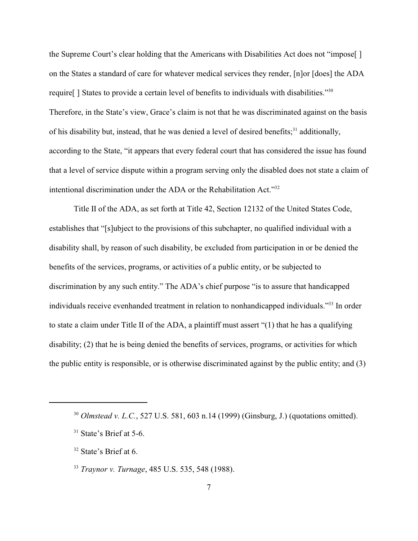the Supreme Court's clear holding that the Americans with Disabilities Act does not "impose[ ] on the States a standard of care for whatever medical services they render, [n]or [does] the ADA require[ ] States to provide a certain level of benefits to individuals with disabilities."<sup>30</sup> Therefore, in the State's view, Grace's claim is not that he was discriminated against on the basis of his disability but, instead, that he was denied a level of desired benefits;<sup>31</sup> additionally, according to the State, "it appears that every federal court that has considered the issue has found that a level of service dispute within a program serving only the disabled does not state a claim of intentional discrimination under the ADA or the Rehabilitation Act."<sup>32</sup>

Title II of the ADA, as set forth at Title 42, Section 12132 of the United States Code, establishes that "[s]ubject to the provisions of this subchapter, no qualified individual with a disability shall, by reason of such disability, be excluded from participation in or be denied the benefits of the services, programs, or activities of a public entity, or be subjected to discrimination by any such entity." The ADA's chief purpose "is to assure that handicapped individuals receive evenhanded treatment in relation to nonhandicapped individuals."<sup>33</sup> In order to state a claim under Title II of the ADA, a plaintiff must assert "(1) that he has a qualifying disability; (2) that he is being denied the benefits of services, programs, or activities for which the public entity is responsible, or is otherwise discriminated against by the public entity; and (3)

 $32$  State's Brief at 6.

<sup>&</sup>lt;sup>30</sup> *Olmstead v. L.C.*, 527 U.S. 581, 603 n.14 (1999) (Ginsburg, J.) (quotations omitted).

 $31$  State's Brief at 5-6.

<sup>&</sup>lt;sup>33</sup> Traynor v. Turnage, 485 U.S. 535, 548 (1988).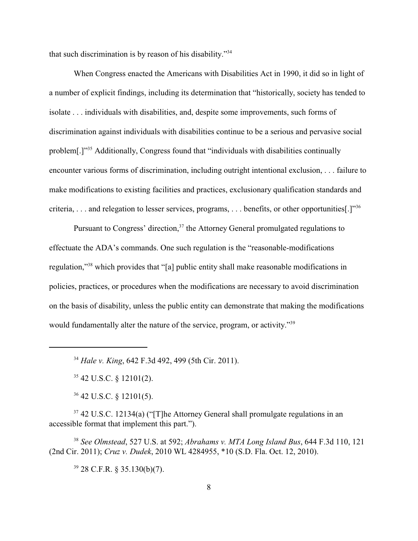that such discrimination is by reason of his disability."<sup>34</sup>

When Congress enacted the Americans with Disabilities Act in 1990, it did so in light of a number of explicit findings, including its determination that "historically, society has tended to isolate . . . individuals with disabilities, and, despite some improvements, such forms of discrimination against individuals with disabilities continue to be a serious and pervasive social problem[.]"<sup>35</sup> Additionally, Congress found that "individuals with disabilities continually encounter various forms of discrimination, including outright intentional exclusion, . . . failure to make modifications to existing facilities and practices, exclusionary qualification standards and criteria, . . . and relegation to lesser services, programs, . . . benefits, or other opportunities[.]"<sup>36</sup>

Pursuant to Congress' direction,  $37$  the Attorney General promulgated regulations to effectuate the ADA's commands. One such regulation is the "reasonable-modifications regulation,"<sup>38</sup> which provides that "[a] public entity shall make reasonable modifications in policies, practices, or procedures when the modifications are necessary to avoid discrimination on the basis of disability, unless the public entity can demonstrate that making the modifications would fundamentally alter the nature of the service, program, or activity."<sup>39</sup>

<sup>34</sup> Hale v. King, 642 F.3d 492, 499 (5th Cir. 2011).

 $35$  42 U.S.C. § 12101(2).

 $36$  42 U.S.C. § 12101(5).

 $37$  42 U.S.C. 12134(a) ("[T]he Attorney General shall promulgate regulations in an accessible format that implement this part.").

*See Olmstead*, 527 U.S. at 592; *Abrahams v. MTA Long Island Bus*, 644 F.3d 110, 121 <sup>38</sup> (2nd Cir. 2011); *Cruz v. Dudek*, 2010 WL 4284955, \*10 (S.D. Fla. Oct. 12, 2010).

 $39$  28 C.F.R. § 35.130(b)(7).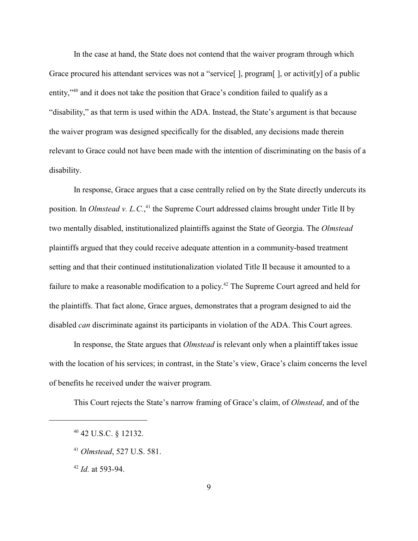In the case at hand, the State does not contend that the waiver program through which Grace procured his attendant services was not a "service" l, program l, or activitivel of a public entity," $40$  and it does not take the position that Grace's condition failed to qualify as a "disability," as that term is used within the ADA. Instead, the State's argument is that because the waiver program was designed specifically for the disabled, any decisions made therein relevant to Grace could not have been made with the intention of discriminating on the basis of a disability.

In response, Grace argues that a case centrally relied on by the State directly undercuts its position. In *Olmstead v. L.C.*,<sup>41</sup> the Supreme Court addressed claims brought under Title II by two mentally disabled, institutionalized plaintiffs against the State of Georgia. The *Olmstead* plaintiffs argued that they could receive adequate attention in a community-based treatment setting and that their continued institutionalization violated Title II because it amounted to a failure to make a reasonable modification to a policy.<sup>42</sup> The Supreme Court agreed and held for the plaintiffs. That fact alone, Grace argues, demonstrates that a program designed to aid the disabled *can* discriminate against its participants in violation of the ADA. This Court agrees.

In response, the State argues that *Olmstead* is relevant only when a plaintiff takes issue with the location of his services; in contrast, in the State's view, Grace's claim concerns the level of benefits he received under the waiver program.

This Court rejects the State's narrow framing of Grace's claim, of *Olmstead*, and of the

 $^{42}$  *Id.* at 593-94.

 $40$  42 U.S.C. § 12132.

*Olmstead*, 527 U.S. 581. <sup>41</sup>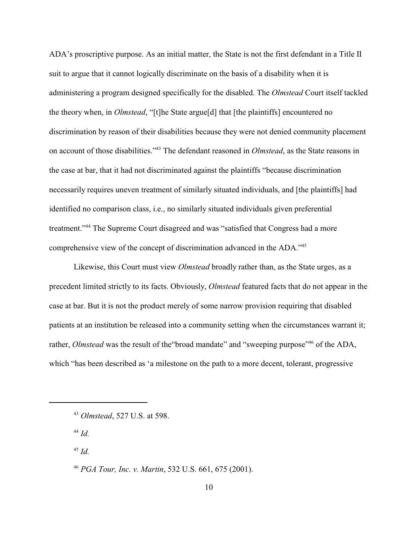ADA's proscriptive purpose. As an initial matter, the State is not the first defendant in a Title II suit to argue that it cannot logically discriminate on the basis of a disability when it is administering a program designed specifically for the disabled. The *Olmstead* Court itself tackled the theory when, in *Olmstead*, "[t]he State argue[d] that [the plaintiffs] encountered no discrimination by reason of their disabilities because they were not denied community placement on account of those disabilities."<sup>43</sup> The defendant reasoned in *Olmstead*, as the State reasons in the case at bar, that it had not discriminated against the plaintiffs "because discrimination necessarily requires uneven treatment of similarly situated individuals, and [the plaintiffs] had identified no comparison class, i.e., no similarly situated individuals given preferential treatment."<sup>44</sup> The Supreme Court disagreed and was "satisfied that Congress had a more comprehensive view of the concept of discrimination advanced in the ADA."<sup>45</sup>

Likewise, this Court must view *Olmstead* broadly rather than, as the State urges, as a precedent limited strictly to its facts. Obviously, *Olmstead* featured facts that do not appear in the case at bar. But it is not the product merely of some narrow provision requiring that disabled patients at an institution be released into a community setting when the circumstances warrant it; rather, *Olmstead* was the result of the "broad mandate" and "sweeping purpose"<sup>46</sup> of the ADA, which "has been described as 'a milestone on the path to a more decent, tolerant, progressive

 $^{44}$  *Id.* 

 $^{45}$  *Id.* 

*PGA Tour, Inc. v. Martin*, 532 U.S. 661, 675 (2001). <sup>46</sup>

<sup>&</sup>lt;sup>43</sup> *Olmstead*, 527 U.S. at 598.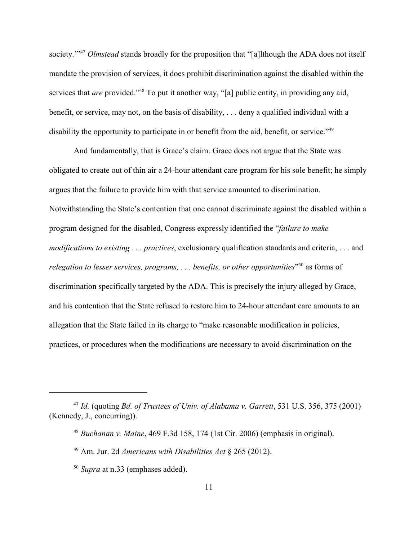society.<sup>"47</sup> *Olmstead* stands broadly for the proposition that "[a]lthough the ADA does not itself mandate the provision of services, it does prohibit discrimination against the disabled within the services that *are* provided."<sup>48</sup> To put it another way, "[a] public entity, in providing any aid, benefit, or service, may not, on the basis of disability, . . . deny a qualified individual with a disability the opportunity to participate in or benefit from the aid, benefit, or service."<sup>49</sup>

And fundamentally, that is Grace's claim. Grace does not argue that the State was obligated to create out of thin air a 24-hour attendant care program for his sole benefit; he simply argues that the failure to provide him with that service amounted to discrimination. Notwithstanding the State's contention that one cannot discriminate against the disabled within a program designed for the disabled, Congress expressly identified the "*failure to make modifications to existing . . . practices*, exclusionary qualification standards and criteria, . . . and *relegation to lesser services, programs, ... benefits, or other opportunities*" as forms of discrimination specifically targeted by the ADA. This is precisely the injury alleged by Grace, and his contention that the State refused to restore him to 24-hour attendant care amounts to an allegation that the State failed in its charge to "make reasonable modification in policies, practices, or procedures when the modifications are necessary to avoid discrimination on the

<sup>&</sup>lt;sup>47</sup> Id. (quoting *Bd. of Trustees of Univ. of Alabama v. Garrett*, 531 U.S. 356, 375 (2001) (Kennedy, J., concurring)).

<sup>&</sup>lt;sup>48</sup> Buchanan v. Maine, 469 F.3d 158, 174 (1st Cir. 2006) (emphasis in original).

<sup>&</sup>lt;sup>49</sup> Am. Jur. 2d *Americans with Disabilities Act* § 265 (2012).

<sup>&</sup>lt;sup>50</sup> Supra at n.33 (emphases added).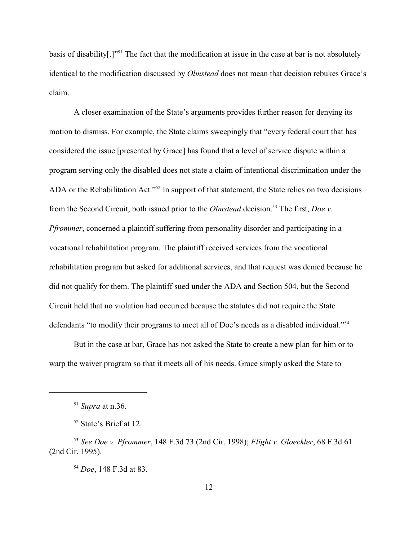basis of disability[.]"<sup>51</sup> The fact that the modification at issue in the case at bar is not absolutely identical to the modification discussed by *Olmstead* does not mean that decision rebukes Grace's claim.

A closer examination of the State's arguments provides further reason for denying its motion to dismiss. For example, the State claims sweepingly that "every federal court that has considered the issue [presented by Grace] has found that a level of service dispute within a program serving only the disabled does not state a claim of intentional discrimination under the ADA or the Rehabilitation Act."<sup>52</sup> In support of that statement, the State relies on two decisions from the Second Circuit, both issued prior to the *Olmstead* decision.<sup>53</sup> The first, *Doe v. Pfrommer*, concerned a plaintiff suffering from personality disorder and participating in a vocational rehabilitation program. The plaintiff received services from the vocational rehabilitation program but asked for additional services, and that request was denied because he did not qualify for them. The plaintiff sued under the ADA and Section 504, but the Second Circuit held that no violation had occurred because the statutes did not require the State defendants "to modify their programs to meet all of Doe's needs as a disabled individual."<sup>54</sup>

But in the case at bar, Grace has not asked the State to create a new plan for him or to warp the waiver program so that it meets all of his needs. Grace simply asked the State to

<sup>54</sup> *Doe*, 148 F.3d at 83.

 $51$  *Supra* at n.36.

 $52$  State's Brief at 12.

<sup>&</sup>lt;sup>53</sup> See Doe v. Pfrommer, 148 F.3d 73 (2nd Cir. 1998); *Flight v. Gloeckler*, 68 F.3d 61 (2nd Cir. 1995).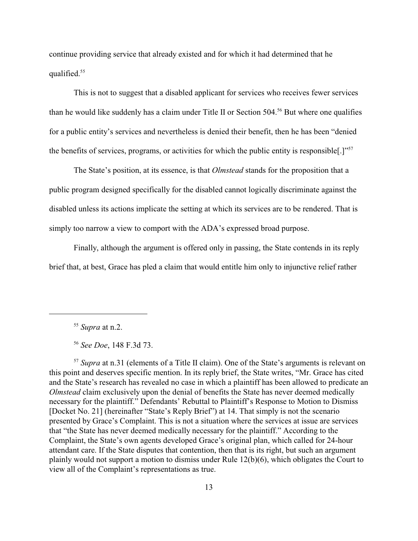continue providing service that already existed and for which it had determined that he qualified.<sup>55</sup>

This is not to suggest that a disabled applicant for services who receives fewer services than he would like suddenly has a claim under Title II or Section 504.<sup>56</sup> But where one qualifies for a public entity's services and nevertheless is denied their benefit, then he has been "denied the benefits of services, programs, or activities for which the public entity is responsible[.]"<sup>57</sup>

The State's position, at its essence, is that *Olmstead* stands for the proposition that a public program designed specifically for the disabled cannot logically discriminate against the disabled unless its actions implicate the setting at which its services are to be rendered. That is simply too narrow a view to comport with the ADA's expressed broad purpose.

Finally, although the argument is offered only in passing, the State contends in its reply brief that, at best, Grace has pled a claim that would entitle him only to injunctive relief rather

<sup>57</sup> Supra at n.31 (elements of a Title II claim). One of the State's arguments is relevant on this point and deserves specific mention. In its reply brief, the State writes, "Mr. Grace has cited and the State's research has revealed no case in which a plaintiff has been allowed to predicate an *Olmstead* claim exclusively upon the denial of benefits the State has never deemed medically necessary for the plaintiff." Defendants' Rebuttal to Plaintiff's Response to Motion to Dismiss [Docket No. 21] (hereinafter "State's Reply Brief") at 14. That simply is not the scenario presented by Grace's Complaint. This is not a situation where the services at issue are services that "the State has never deemed medically necessary for the plaintiff." According to the Complaint, the State's own agents developed Grace's original plan, which called for 24-hour attendant care. If the State disputes that contention, then that is its right, but such an argument plainly would not support a motion to dismiss under Rule 12(b)(6), which obligates the Court to view all of the Complaint's representations as true.

 $55$  *Supra* at n.2.

<sup>&</sup>lt;sup>56</sup> See Doe, 148 F.3d 73.